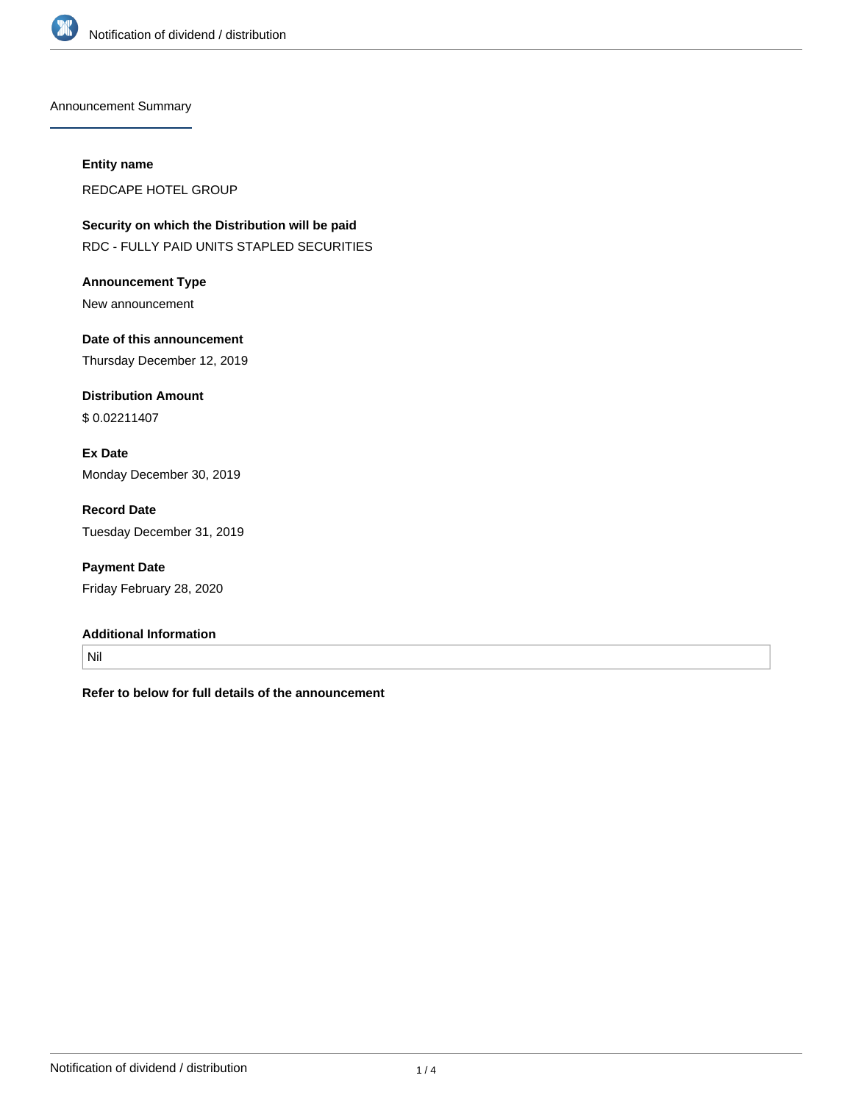

Announcement Summary

#### **Entity name**

REDCAPE HOTEL GROUP

**Security on which the Distribution will be paid** RDC - FULLY PAID UNITS STAPLED SECURITIES

**Announcement Type** New announcement

**Date of this announcement** Thursday December 12, 2019

**Distribution Amount** \$ 0.02211407

**Ex Date** Monday December 30, 2019

**Record Date** Tuesday December 31, 2019

**Payment Date** Friday February 28, 2020

#### **Additional Information**

Nil

**Refer to below for full details of the announcement**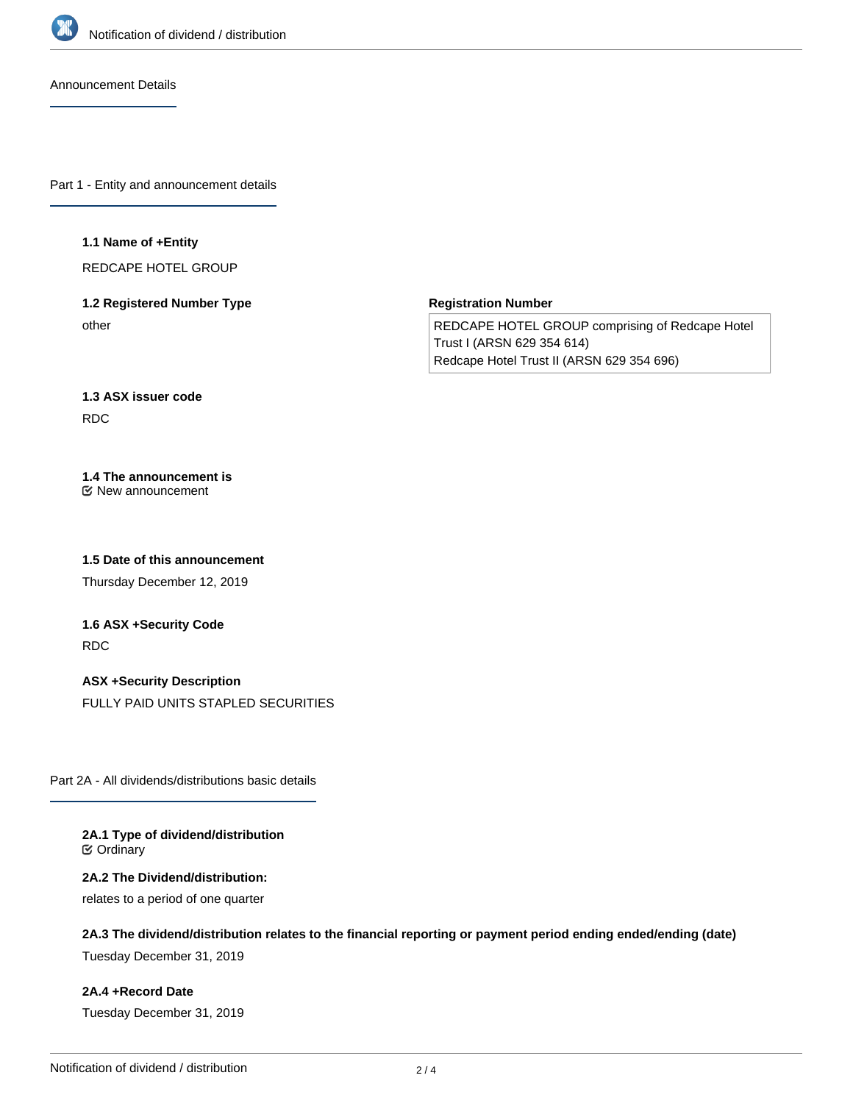

Announcement Details

Part 1 - Entity and announcement details

#### **1.1 Name of +Entity**

REDCAPE HOTEL GROUP

## **1.2 Registered Number Type** other

**Registration Number**

REDCAPE HOTEL GROUP comprising of Redcape Hotel Trust I (ARSN 629 354 614) Redcape Hotel Trust II (ARSN 629 354 696)

## **1.3 ASX issuer code** RDC

#### **1.4 The announcement is** New announcement

**1.5 Date of this announcement**

Thursday December 12, 2019

# **1.6 ASX +Security Code** RDC

**ASX +Security Description** FULLY PAID UNITS STAPLED SECURITIES

Part 2A - All dividends/distributions basic details

#### **2A.1 Type of dividend/distribution C** Ordinary

#### **2A.2 The Dividend/distribution:**

relates to a period of one quarter

## **2A.3 The dividend/distribution relates to the financial reporting or payment period ending ended/ending (date)**

Tuesday December 31, 2019

### **2A.4 +Record Date**

Tuesday December 31, 2019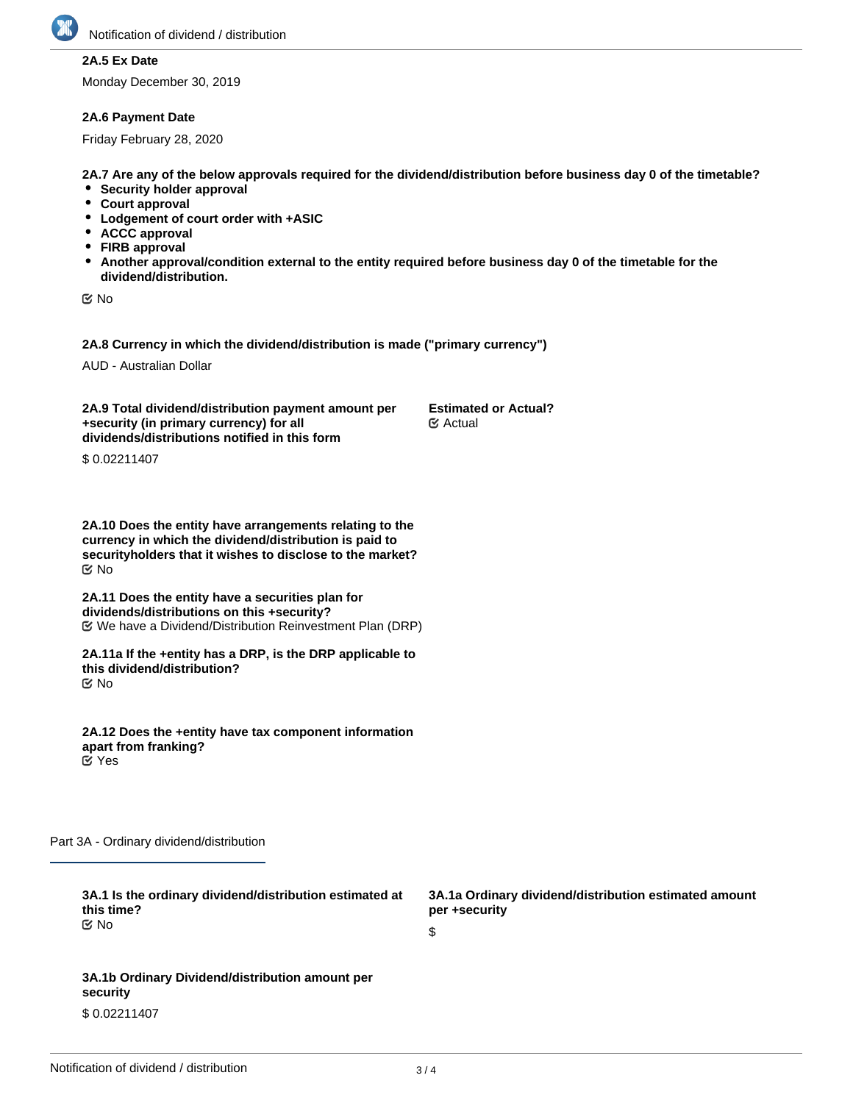

## **2A.5 Ex Date**

Monday December 30, 2019

#### **2A.6 Payment Date**

Friday February 28, 2020

**2A.7 Are any of the below approvals required for the dividend/distribution before business day 0 of the timetable?**

- **•** Security holder approval
- **Court approval**
- **Lodgement of court order with +ASIC**
- **ACCC approval**
- **FIRB approval**
- **Another approval/condition external to the entity required before business day 0 of the timetable for the dividend/distribution.**

No

**2A.8 Currency in which the dividend/distribution is made ("primary currency")**

AUD - Australian Dollar

**2A.9 Total dividend/distribution payment amount per +security (in primary currency) for all dividends/distributions notified in this form Estimated or Actual?** Actual

\$ 0.02211407

**2A.10 Does the entity have arrangements relating to the currency in which the dividend/distribution is paid to securityholders that it wishes to disclose to the market?** No

**2A.11 Does the entity have a securities plan for dividends/distributions on this +security?** We have a Dividend/Distribution Reinvestment Plan (DRP)

**2A.11a If the +entity has a DRP, is the DRP applicable to this dividend/distribution?** No

**2A.12 Does the +entity have tax component information apart from franking?** Yes

Part 3A - Ordinary dividend/distribution

| 3A.1 Is the ordinary dividend/distribution estimated at<br>this time? | 3A.1a Ordinary dividend/distribution estimated amount<br>per +security |
|-----------------------------------------------------------------------|------------------------------------------------------------------------|
| tiX No                                                                | S                                                                      |
|                                                                       |                                                                        |
| 3A.1b Ordinary Dividend/distribution amount per<br>security           |                                                                        |

\$ 0.02211407